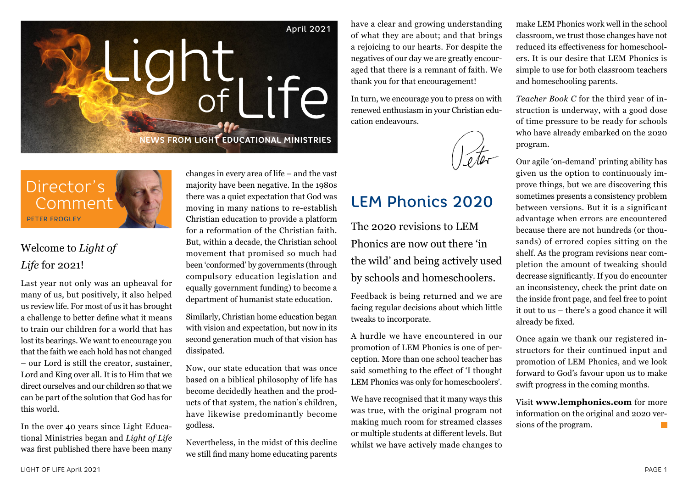



## Welcome to *Light of Life* for 2021!

Last year not only was an upheaval for many of us, but positively, it also helped us review life. For most of us it has brought a challenge to better define what it means to train our children for a world that has lost its bearings. We want to encourage you that the faith we each hold has not changed – our Lord is still the creator, sustainer, Lord and King over all. It is to Him that we direct ourselves and our children so that we can be part of the solution that God has for this world.

In the over 40 years since Light Educational Ministries began and *Light of Life* was first published there have been many changes in every area of life – and the vast majority have been negative. In the 1980s there was a quiet expectation that God was moving in many nations to re-establish Christian education to provide a platform for a reformation of the Christian faith. But, within a decade, the Christian school movement that promised so much had been 'conformed' by governments (through compulsory education legislation and equally government funding) to become a department of humanist state education.

Similarly, Christian home education began with vision and expectation, but now in its second generation much of that vision has dissipated.

Now, our state education that was once based on a biblical philosophy of life has become decidedly heathen and the products of that system, the nation's children, have likewise predominantly become godless.

Nevertheless, in the midst of this decline we still find many home educating parents

have a clear and growing understanding of what they are about; and that brings a rejoicing to our hearts. For despite the negatives of our day we are greatly encouraged that there is a remnant of faith. We thank you for that encouragement!

In turn, we encourage you to press on with renewed enthusiasm in your Christian education endeavours.

# LEM Phonics 2020

The 2020 revisions to LEM Phonics are now out there 'in the wild' and being actively used by schools and homeschoolers.

Feedback is being returned and we are facing regular decisions about which little tweaks to incorporate.

A hurdle we have encountered in our promotion of LEM Phonics is one of perception. More than one school teacher has said something to the effect of 'I thought LEM Phonics was only for homeschoolers'.

We have recognised that it many ways this was true, with the original program not making much room for streamed classes or multiple students at different levels. But whilst we have actively made changes to

make LEM Phonics work well in the school classroom, we trust those changes have not reduced its effectiveness for homeschoolers. It is our desire that LEM Phonics is simple to use for both classroom teachers and homeschooling parents.

*Teacher Book C* for the third year of instruction is underway, with a good dose of time pressure to be ready for schools who have already embarked on the 2020 program.

Our agile 'on-demand' printing ability has given us the option to continuously improve things, but we are discovering this sometimes presents a consistency problem between versions. But it is a significant advantage when errors are encountered because there are not hundreds (or thousands) of errored copies sitting on the shelf. As the program revisions near completion the amount of tweaking should decrease significantly. If you do encounter an inconsistency, check the print date on the inside front page, and feel free to point it out to us – there's a good chance it will already be fixed.

Once again we thank our registered instructors for their continued input and promotion of LEM Phonics, and we look forward to God's favour upon us to make swift progress in the coming months.

Visit **www.lemphonics.com** for more information on the original and 2020 versions of the program.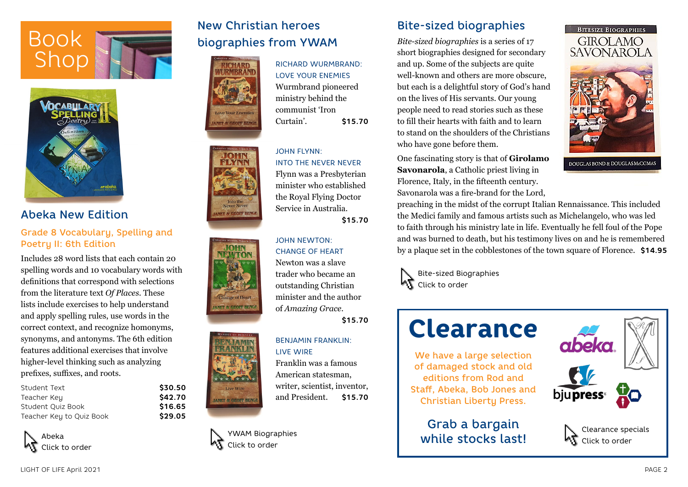



## Abeka New Edition

### Grade 8 Vocabulary, Spelling and Poetry II: 6th Edition

Includes 28 word lists that each contain 20 spelling words and 10 vocabulary words with definitions that correspond with selections from the literature text *Of Places*. These lists include exercises to help understand and apply spelling rules, use words in the correct context, and recognize homonyms, synonyms, and antonyms. The 6th edition features additional exercises that involve higher-level thinking such as analyzing prefixes, suffixes, and roots.

| Student Text             | \$30.50 |
|--------------------------|---------|
| Teacher Key              | \$42.70 |
| Student Ouiz Book        | \$16.65 |
| Teacher Key to Quiz Book | \$29.05 |

Abeka Click to order

## New Christian heroes biographies from YWAM



NET & GEOFF BENG

RICHARD WURMBRAND: LOVE YOUR ENEMIES Wurmbrand pioneered ministry behind the communist 'Iron Curtain'. **\$15.70**



JOHN FLYNN: INTO THE NEVER NEVER

Flynn was a Presbyterian minister who established the Royal Flying Doctor Service in Australia. **\$15.70**



**ANET & GEOFF BENGE** 

Live Wir

**ANET & GEOFF BENCI** 

#### JOHN NEWTON: CHANGE OF HEART

Newton was a slave trader who became an outstanding Christian minister and the author of *Amazing Grace.*

**\$15.70**

#### BENJAMIN FRANKLIN: LIVE WIRE

Franklin was a famous American statesman, writer, scientist, inventor, and President. **\$15.70**

YWAM Biographies Click to order

## Bite-sized biographies

*Bite-sized biographies* is a series of 17 short biographies designed for secondary and up. Some of the subjects are quite well-known and others are more obscure, but each is a delightful story of God's hand on the lives of His servants. Our young people need to read stories such as these to fill their hearts with faith and to learn to stand on the shoulders of the Christians who have gone before them.

One fascinating story is that of **Girolamo Savonarola**, a Catholic priest living in Florence, Italy, in the fifteenth century. Savonarola was a fire-brand for the Lord,



**BITESIZE BIOGRAPHIES** 



DOUGLAS BOND & DOUGLAS McCOMAS

preaching in the midst of the corrupt Italian Rennaissance. This included the Medici family and famous artists such as Michelangelo, who was led to faith through his ministry late in life. Eventually he fell foul of the Pope and was burned to death, but his testimony lives on and he is remembered by a plaque set in the cobblestones of the town square of Florence. **\$14.95**

Bite-sized Biographies Click to order

# Clearance

We have a large selection of damaged stock and old editions from Rod and Staff, Abeka, Bob Jones and Christian Liberty Press.

Grab a bargain while stocks last!

![](_page_1_Picture_31.jpeg)

Clearance specials Click to order